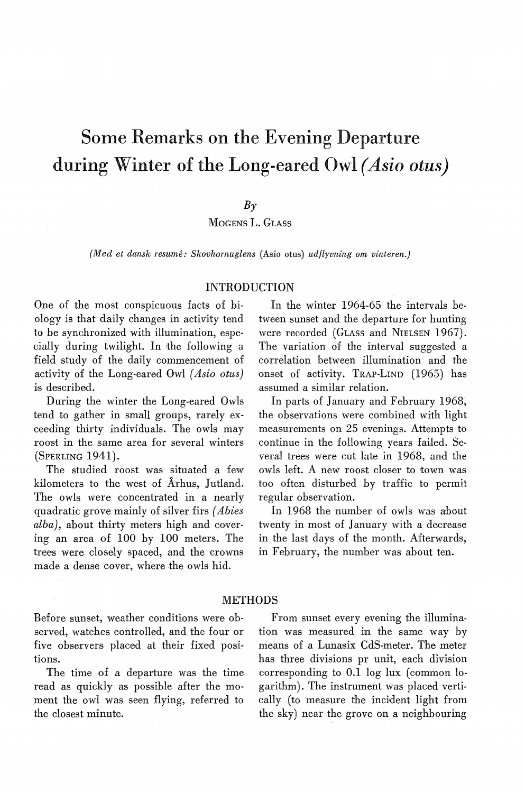# Some Remarks on the Evening Departure during Winter of the Long-eared Owl *( Asio otus)*

### $B<sub>\gamma</sub>$

MOGENS L. GLASS

*(Med et dansk resume: Skovhomuglens* (Asio otus) *udflyvning om vinteren.)* 

## INTRODUCTION

One of the most conspicuous facts of biology is that daily changes in activity tend to be synchronized with illumination, especially during twilight. In the following a field study of the daily commencement of activity of the Long-eared Owl *( Asio otus)*  is described.

During the winter the Long-eared Owls tend to gather in small groups, rarely exceeding thirty individuals. The owls may roost in the same area for several winters (SPERLING 1941).

The studied roost was situated a few kilometers to the west of Århus, Jutland. The owls were concentrated in a nearly quadratic grove mainly of silver firs *( Abies alba),* about thirty meters high and covering an area of 100 by 100 meters. The trees were closely spaced, and the crowns made a dense cover, where the owls hid.

In the winter 1964-65 the intervals between sunset and the departure for hunting were recorded (GLASS and NIELSEN 1967). The variation of the interval suggested a correlation between illumination and the onset of activity. TRAP-LIND (1965) has assumed a similar relation.

In parts of January and February 1968, the observations were combined with light measurements on 25 evenings. Attempts to continue in the following years faiiled. Several trees were cut late in 1968, and the owls left. A new roost closer to town was too often disturbed by traffic to permit regular observation.

In 1968 the number of owls was about twenty in most of January with a decrease in the last days of the month. Afterwards, in February, the number was about ten.

#### METHODS

Before sunset, weather conditions were observed, watches controlled, and the four or five observers placed at their fixed positions.

The time of a departure was the time read as quickly as possible after the moment the owl was seen flying, referred to the closest minute.

From sunset every evening the illumination was measured in the same way by means of a Lunasix CdS-meter. The meter has three divisions pr unit, each division corresponding to 0.1 log lux (common logarithm). The instrument was placed vertically (to measure the incident light from the sky) near the grove on a neighbouring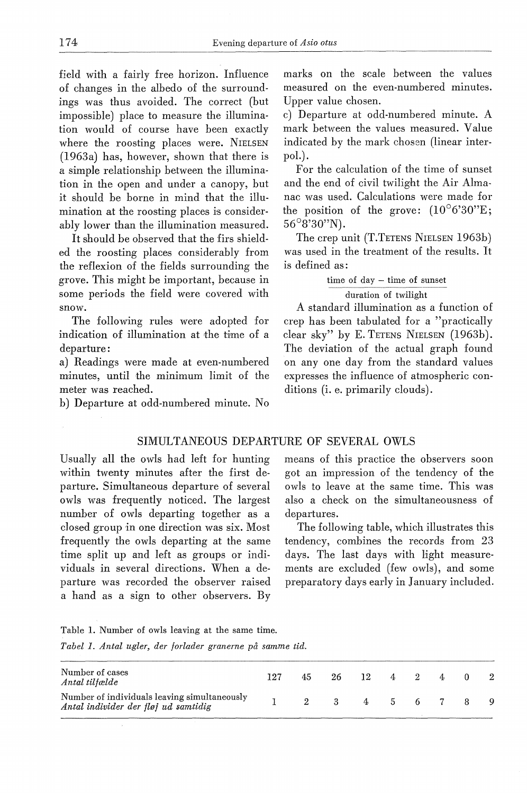field with a fairly free horizon. Influence of changes in the albedo of the surroundings was thus avoided. The correct (but impossible) place to measure the illumination would of course have been exactly where the roosting places were. NIELSEN (1963a) has, however, shown that there is a simple relationship between the illumination in the open and under a canopy, but it should be borne in mind that the illumination at the roosting places is considerably lower than the illumination measured.

It should be observed that the firs shielded the roosting places considerably from the reflexion of the fields surrounding the grove. This might be important, because in some periods the field were covered with snow.

The following rules were adopted for indication of illumination at the time of a departure:

a) Readings were made at even-numbered minutes, until the minimum limit of the meter was reached.

b) Departure at odd-numbered minute. No

marks on the scale between the values measured on the even-numbered minutes. Upper value chosen.

c) Departure at odd-numbered minute. A mark between the values measured. Value indicated by the mark chosen (linear interpol.).

For the calculation of the time of sunset and the end of civil twilight the Air Almanac was used. Calculations were made for the position of the grove:  $(10^{\circ}6'30''E;$ 56°8'30"N).

The crep unit (T.TETENS NIELSEN 1963b) was used in the treatment of the results. It is defined as :

> time of day - time of sunset duration of twilight

A standard illumination as a function of crep has been tabulated for a "practically clear sky" by E. TETENS NIELSEN (1963b). The deviation of the actual graph found on any one day from the standard values expresses the influence of atmospheric conditions (i. e. primarily clouds).

#### SIMULTANEOUS DEPARTURE OF SEVERAL OWLS

Usually all the owls had left for hunting within twenty minutes after the first departure. Simultaneous departure of several owls was frequently noticed. The largest number of owls departing together as a closed group in one direction was six. Most frequently the owls departing at the same time split up and left as groups or individuals in several directions. When a departure was recorded the observer raised a hand as a sign to other observers. By

means of this practice the observers soon got an impression of the tendency of the owls to leave at the same time. This was also a check on the simultaneousness of departures.

The following table, which illustrates this tendency, combines the records from 23 days. The last days with light measurements are excluded (few owls), and some preparatory days early in January included.

Table 1. Number of owls leaving at the same time. *Tabel I. Antal ugler, der forlader granerne på samme tid.* 

| Number of cases<br>Antal tilfælde                                                    | 197 | 45.         | 26 —         |  | $12 \t 4 \t 2 \t 4 \t 0$ |  |  |
|--------------------------------------------------------------------------------------|-----|-------------|--------------|--|--------------------------|--|--|
| Number of individuals leaving simultaneously<br>Antal individer der fløj ud samtidig |     | $2^{\circ}$ | $\mathbf{3}$ |  | 4 5 6 7 8                |  |  |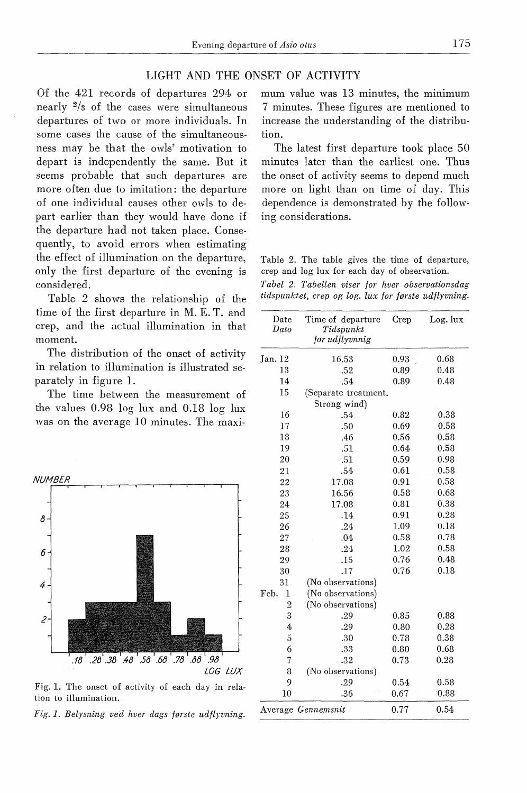# LIGHT AND THE ONSET OF ACTIVITY

Of the 421 records of departures 294 or nearly  $\frac{2}{3}$  of the cases were simultaneous departures of two or more individuals. In sorne cases the cause of the simultaneousness may be that the owls' motivation to depart is independently the same. But it seerns probable that such departures are more often due to imitation: the departure of one individual causes other owls to depart earlier than they would have done if the departure had not taken place. Consequently, to avoid errors when estimating the effect of illumination on the departure, only the first departure of the evening is considered.

Table 2 shows the relationship of the time of the first departure in M. E. T. and crep, and the actual illumination in that moment.

The distribution of the onset of activity in relation to illumination is illustrated separately in figure 1.

The time between the measurement of the values 0.98 log lux and 0.18 log lux was on the average 10 minutes. The maxi-



Fig. 1. The onset of activity of each day in relation to illumination.

*Fig. 1. Belysning ved hver dags første udflyvning.* 

mum value was 13 minutes, the minimum 7 minutes. These figures are mentioned to increase the understanding of the distribution.

The latest first departure took place 50 minutes later than the earliest one. Thus the onset of activity seems to depend much more on light than on time of day. This dependence is demonstrated by the following considerations.

Table 2. The table gives the time of departure, crep and log lux for each day of observation.

|  |  |  |  | Tabel 2. Tabellen viser for hver observationsdag     |  |
|--|--|--|--|------------------------------------------------------|--|
|  |  |  |  | tidspunktet, crep og log. lux for første udflyvning. |  |

| Date<br>Dato   | Time of departure<br>Tidspunkt<br>for udflyvnnig | Crep | Log. lux |
|----------------|--------------------------------------------------|------|----------|
| Jan. 12        | 16.53                                            | 0.93 | 0.68     |
| 13             | .52                                              | 0.89 | 0.48     |
| 14             | .54                                              | 0.89 | 0.48     |
| 15             | (Separate treatment.                             |      |          |
|                | Strong wind)                                     |      |          |
| 16             | .54                                              | 0.82 | 0.38     |
| 17             | .50                                              | 0.69 | 0.58     |
| 18             | .46                                              | 0.56 | 0.58     |
| 19             | .51                                              | 0.64 | 0.58     |
| 20             | .51                                              | 0.59 | 0.98     |
| 21             | .54                                              | 0.61 | 0.58     |
| 22             | 17.08                                            | 0.91 | 0.58     |
| 23             | 16.56                                            | 0.58 | 0.68     |
| 24             | 17.08                                            | 0.81 | 0.38     |
| 25             | .14                                              | 0.91 | 0.28     |
| 26             | .24                                              | 1.09 | 0.18     |
| 27             | .04                                              | 0.58 | 0.78     |
| 28             | .24                                              | 1.02 | 0.58     |
| 29             | .15                                              | 0.76 | 0.48     |
| 30             | .17                                              | 0.76 | 0.18     |
| 31             | (No observations)                                |      |          |
| Feb.<br>1      | (No observations)                                |      |          |
| $\overline{2}$ | (No observations)                                |      |          |
| 3              | .29                                              | 0.85 | 0.88     |
| 4              | .29                                              | 0.80 | 0.28     |
| 5              | .30                                              | 0.78 | 0.38     |
| 6              | .33                                              | 0.80 | 0.68     |
| $\overline{7}$ | .32                                              | 0.73 | 0.28     |
| 8              | (No observations).                               |      |          |
| 9              | .29                                              | 0.54 | 0.58     |
| 10             | .36                                              | 0.67 | 0.88     |
|                | Average Gennemsnit                               | 0.77 | 0.54     |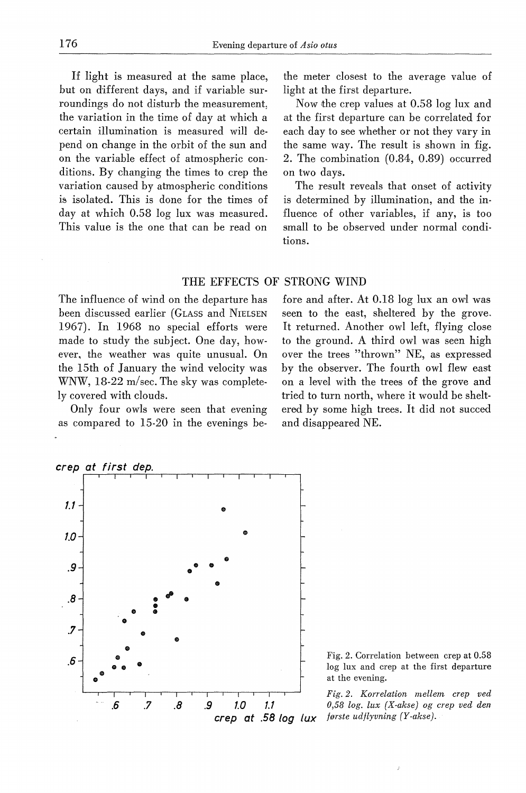If light is measured at the same place, but on different days, and if variable surroundings do not disturb the measurement, the variation in the time of day at which a certain illumination is measured will depend on change in the orbit of the sun and on the variable effect of atmospheric conditions. By changing the times to crep the variation caused by atmospheric conditions is isolated. This is done for the times of day at which 0.58 log lux was measured. This value is the one that can be read on

the meter closest to the average value of light at the first departure.

Now the crep values at 0.58 log lux and at the first departure can be correlated for each day to see whether or not they vary in the same way. The result is shown in fig. 2. The combination (0.84, 0.89) occurred on two days.

The result reveals that onset of aotivity is determined by illumination, and the influence of other variables, if any, is too small to be observed under normal conditions.

## THE EFFECTS OF STRONG WIND

The influence of wind on the departure has been discussed earlier (GLASS and NIELSEN 1967). In 1968 no special efforts were made to study the subject. One day, however. the weather was quite unusual. On the 15th of January the wind velocity was WNW, 18-22 m/sec. The sky was completely covered with clouds.

Only four owls were seen that evening as compared to 15-20 in the evenings be-

fore and after. At 0.18 log lux an owl was seen to the east, sheltered by the grove. It returned. Another owl left, flying close to the ground. A third owl was seen high over the trees "thrown" NE, as expressed by the observer. The fourth owl flew east on a level with the trees of the grove and tried to turn north, where it would be sheltered by some high trees. It did not succed and disappeared NE.



Fig. 2. Correlation between crep at 0.58 log lux and crep at the first departure at the evening.

*Fig. 2. Korrelation mellem crep ved*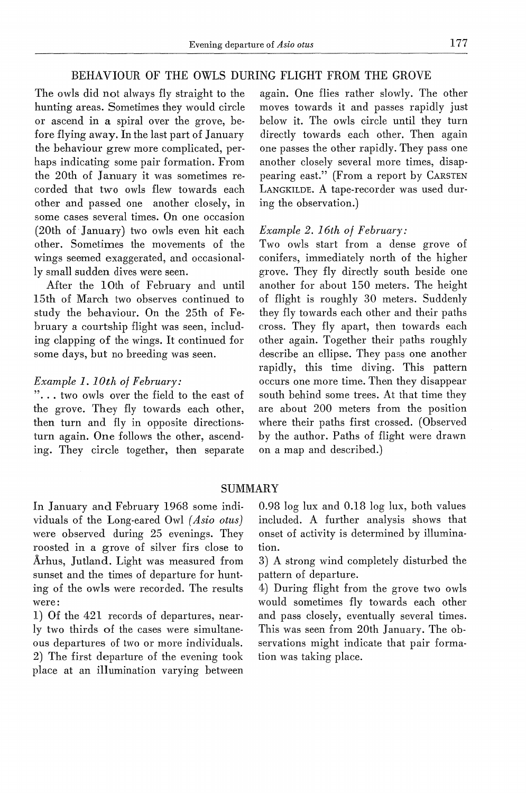# BEHAVIOUR OF THE OWLS DURING FLIGHT FROM THE GROVE

The owls did not always fly straight to the hunting areas. Sometimes they would circle or ascend in a spiral over the grove, before flying away. In the last part of January the behaviour grew more complicated, perhaps indicating some pair formation. From the 20th of January it was sometimes recorded that two owls flew towards each other and passed one another closely, in some cases several times. On one occasion  $(20th of January)$  two owls even hit each other. Sometimes the movements of the wings seemed exaggerated, and occasionally small sudden dives were seen.

After the lOth of February and until 15th of March two observes continued to study the behaviour. On the 25th of February a courtship flight was seen, including clapping of the wings. It continued for some days, but no breeding was seen.

#### *Example 1.10th of February:*

"... two owls over the field to the east of the grove. They fly towards each other, then turn and fly in opposite directionsturn again. One follows the other, ascending. They circle together, then separate again. One flies rather slowly. The other moves towards it and passes rapidly just below it. The owls circle until they turn directly towards each other. Then again one passes the other rapidly. They pass one another closely several more times, disappearing east." (From a report by CARSTEN LANGKILDE. A tape-recorder was used during the observation.)

# *Example 2. 16th of February:*

Two owls start from a dense grove of conifers, immediately north of the higher grove. They fly directly south beside one another for about 150 meters. The height of flight is roughly 30 meters. Suddenly they fly towards each other and their paths cross. They fly apart, then towards each other again. Together their paths roughly describe an ellipse. They pass one another rapidly, this time diving. This pattern occurs one more time. Then they disappear south behind some trees. At that time they are about 200 meters from the position where their paths first crossed. (Observed by the author. Paths of flight were drawn on a map and described.)

#### SUMMARY

In January and February 1968 some individuals of the Long-eared Owl *( Asio otus)*  were observed during 25 evenings. They roosted in a grove of silver firs close to Århus, Jutland. Light was measured from sunset and the times of departure for hunting of the owls were recorded. The results were:

1) Of the 421 records of departures, nearly two thirds of the cases were simultaneous departures of two or more individuals. 2) The first departure of the evening took place at an illumination varying between 0.98 log lux and 0.18 log lux, both values included. A further analysis shows that onset of activity is determined by illumination.

3) A strong wind completely disturbed the pattern of departure.

4) During flight from the grove two owls would sometimes fly towards each other and pass closely, eventually several times. This was seen from 20th January. The observations might indicate that pair formation was taking place.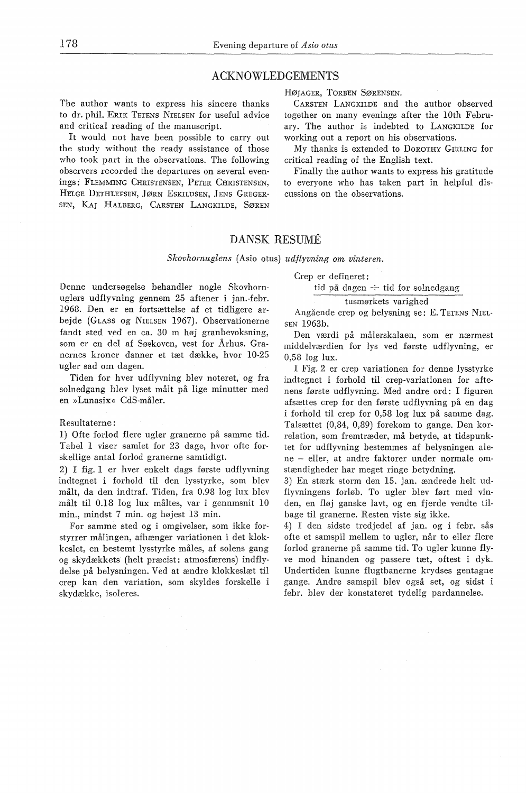#### ACKNOWLEDGEMENTS

The author wants to express his sincere thanks to dr. phil. ERIK TETENS NIELSEN for useful advice and critical reading of the manuscript.

It would not have been possible to carry out the study without the ready assistance of those who took part in the observations. The following observers recorded the departures on several evenings: FLEMMING CHRISTENSEN, PETER CHRISTENSEN, HELGE DETHLEFSEN, *]ØRN* ESKILDSEN, JENS GREGER-SEN, KAJ HALBERG, CARSTEN LANGKILDE, SØREN HØJAGER, TORBEN SØRENSEN.

CARSTEN LANGKILDE and the author observed together on many evenings after the lOth February. The author is indebted to LANGKILDE for working out a report on his observations.

My thanks is extended to DoROTHY GIRLING for critical reading of the English text.

Finally the author wants to express his gratitude to everyone who has taken part in helpful discussions on the observations.

# DANSK RESUME

*Skovhornuglens* (Asio otus) *udflyvning om vinteren.* 

Crep er defineret:

tid på dagen *+* tid for solnedgang

tusmørkets varighed

Angående crep og belysning se: E. TETENS NIEL-SEN 1963b.

Den værdi på målerskalaen, som er nærmest middelværdien for lys ved første udflyvning, er 0,58 log lux.

I Fig. 2 er crep variationen for denne lysstyrke indtegnet i forhold til crep-variationen for aftenens første udflyvning. Med andre ord: I figuren afsættes crep for den første udflyvning på en dag i forhold til crep for 0,58 log lux på samme dag. Talsættet (0,84., 0,89) forekom to gange. Den korrelation, som fremtræder, må betyde, at tidspunktet for udflyvning bestemmes af belysningen alene - eller, at andre faktorer under normale omstændigheder har meget ringe betydning.

3) En stærk storm den 15. jan. ændrede helt udflyvningens forløb. To ugler blev ført med vinden, en fløj ganske lavt, og en fjerde vendte tilbage til granerne. Resten viste sig ikke.

4) I den sidste tredjedel af jan. og i febr. sås ofte et samspil mellem to ugler, når to eller flere forlod granerne på samme tid. To ugler kunne flyve mod hinanden og passere tæt, oftest i dyk. Undertiden kunne flugtbanerne krydses gentagne gange. Andre samspil blev også set, og sidst febr. blev der konstateret tydelig pardannelse.

Denne undersøgelse behandler nogle Skovhornuglers udflyvning gennem 25 aftener i jan.-febr. 1968. Den er en fortsættelse af et tidligere arbejde (GLASS og NIELSEN 1967). Observationerne fandt sted ved en ca. 30 m høj granbevoksning, som er en del af Søskoven, vest for Århus. Granernes kroner danner et tæt dække, hvor 10-25 ugler sad om dagen.

Tiden for hver udflyvning blev noteret, og fra solnedgang blev lyset målt på lige minutter med en »Lunasix« CdS-måler.

#### Resultaterne:

l) Ofte forlod flere ugler granerne på samme tid. Tabel 1 viser samlet for 23 dage, hvor ofte forskellige antal forlod granerne samtidigt.

2) I fig. 1 er hver enkelt dags første udflyvning indtegnet i forhold til den lysstyrke, som blev målt, da den indtraf. Tiden, fra 0.98 log lux blev målt til 0.18 log lux måltes, var i gennmsnit 10 min., mindst 7 min. og højest 13 min.

For samme sted og i omgivelser, som ikke forstyrrer målingen, afhænger variationen i det klokkeslet, en bestemt lysstyrke måles, af solens gang og skydækkets (helt præcist: atmosfærens) indflydelse på belysningen. Ved at ændre klokkeslæt til crep kan den variation, som skyldes forskelle i skydække, isoleres.